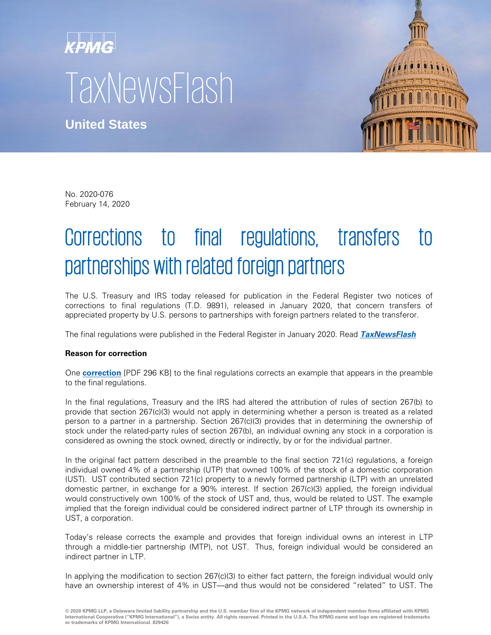# **KPMG TaxNewsFlash**

**United States**



No. 2020-076 February 14, 2020

## Corrections to final regulations, transfers to partnerships with related foreign partners

The U.S. Treasury and IRS today released for publication in the Federal Register two notices of corrections to final regulations (T.D. 9891), released in January 2020, that concern transfers of appreciated property by U.S. persons to partnerships with foreign partners related to the transferor.

The final regulations were published in the Federal Register in January 2020. Read **[TaxNewsFlash](https://home.kpmg/us/en/home/insights/2020/01/tnf-final-regulations-transfers-to-partnerships-with-related-foreign-partners-text-of-regulations.html)**

### **Reason for correction**

One **[correction](https://www.govinfo.gov/content/pkg/FR-2020-02-18/pdf/2020-02654.pdf)** [PDF 296 KB] to the final regulations corrects an example that appears in the preamble to the final regulations.

In the final regulations, Treasury and the IRS had altered the attribution of rules of section 267(b) to provide that section 267(c)(3) would not apply in determining whether a person is treated as a related person to a partner in a partnership. Section 267(c)(3) provides that in determining the ownership of stock under the related-party rules of section 267(b), an individual owning any stock in a corporation is considered as owning the stock owned, directly or indirectly, by or for the individual partner.

In the original fact pattern described in the preamble to the final section 721(c) regulations, a foreign individual owned 4% of a partnership (UTP) that owned 100% of the stock of a domestic corporation (UST). UST contributed section 721(c) property to a newly formed partnership (LTP) with an unrelated domestic partner, in exchange for a 90% interest. If section 267(c)(3) applied, the foreign individual would constructively own 100% of the stock of UST and, thus, would be related to UST. The example implied that the foreign individual could be considered indirect partner of LTP through its ownership in UST, a corporation.

Today's release corrects the example and provides that foreign individual owns an interest in LTP through a middle-tier partnership (MTP), not UST. Thus, foreign individual would be considered an indirect partner in LTP.

In applying the modification to section 267(c)(3) to either fact pattern, the foreign individual would only have an ownership interest of 4% in UST—and thus would not be considered "related" to UST. The